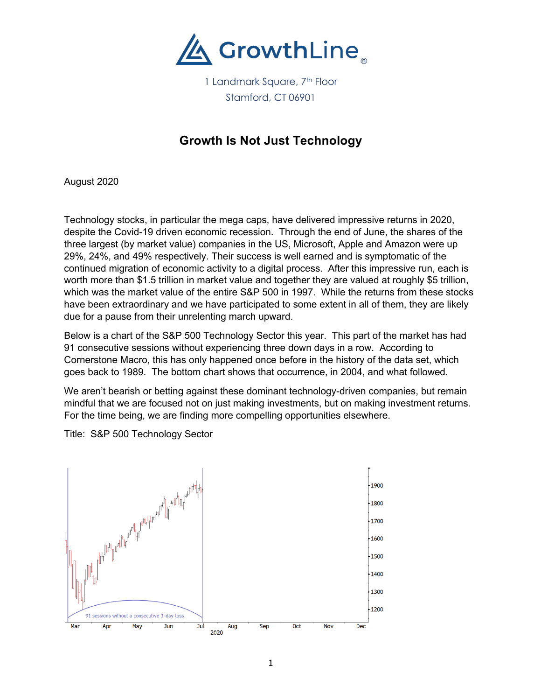

# **Growth Is Not Just Technology**

August 2020

Technology stocks, in particular the mega caps, have delivered impressive returns in 2020, despite the Covid-19 driven economic recession. Through the end of June, the shares of the three largest (by market value) companies in the US, Microsoft, Apple and Amazon were up 29%, 24%, and 49% respectively. Their success is well earned and is symptomatic of the continued migration of economic activity to a digital process. After this impressive run, each is worth more than \$1.5 trillion in market value and together they are valued at roughly \$5 trillion, which was the market value of the entire S&P 500 in 1997. While the returns from these stocks have been extraordinary and we have participated to some extent in all of them, they are likely due for a pause from their unrelenting march upward.

Below is a chart of the S&P 500 Technology Sector this year. This part of the market has had 91 consecutive sessions without experiencing three down days in a row. According to Cornerstone Macro, this has only happened once before in the history of the data set, which goes back to 1989. The bottom chart shows that occurrence, in 2004, and what followed.

We aren't bearish or betting against these dominant technology-driven companies, but remain mindful that we are focused not on just making investments, but on making investment returns. For the time being, we are finding more compelling opportunities elsewhere.



Title: S&P 500 Technology Sector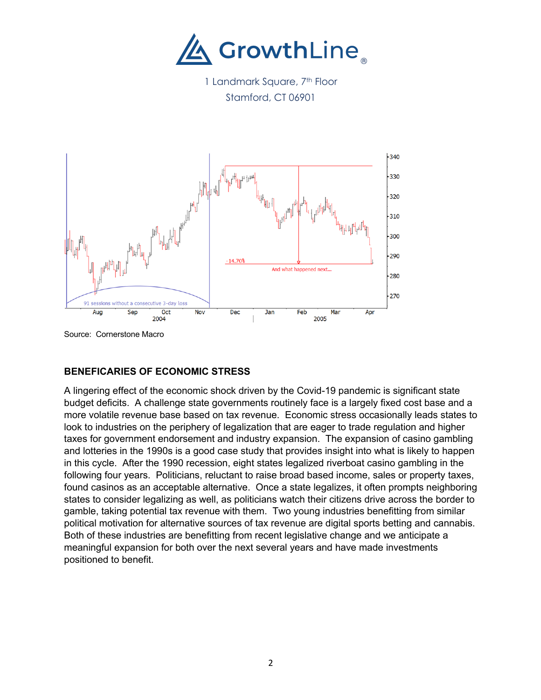

1 Landmark Square, 7<sup>th</sup> Floor Stamford, CT 06901



Source: Cornerstone Macro

## **BENEFICARIES OF ECONOMIC STRESS**

A lingering effect of the economic shock driven by the Covid-19 pandemic is significant state budget deficits. A challenge state governments routinely face is a largely fixed cost base and a more volatile revenue base based on tax revenue. Economic stress occasionally leads states to look to industries on the periphery of legalization that are eager to trade regulation and higher taxes for government endorsement and industry expansion. The expansion of casino gambling and lotteries in the 1990s is a good case study that provides insight into what is likely to happen in this cycle. After the 1990 recession, eight states legalized riverboat casino gambling in the following four years. Politicians, reluctant to raise broad based income, sales or property taxes, found casinos as an acceptable alternative. Once a state legalizes, it often prompts neighboring states to consider legalizing as well, as politicians watch their citizens drive across the border to gamble, taking potential tax revenue with them. Two young industries benefitting from similar political motivation for alternative sources of tax revenue are digital sports betting and cannabis. Both of these industries are benefitting from recent legislative change and we anticipate a meaningful expansion for both over the next several years and have made investments positioned to benefit.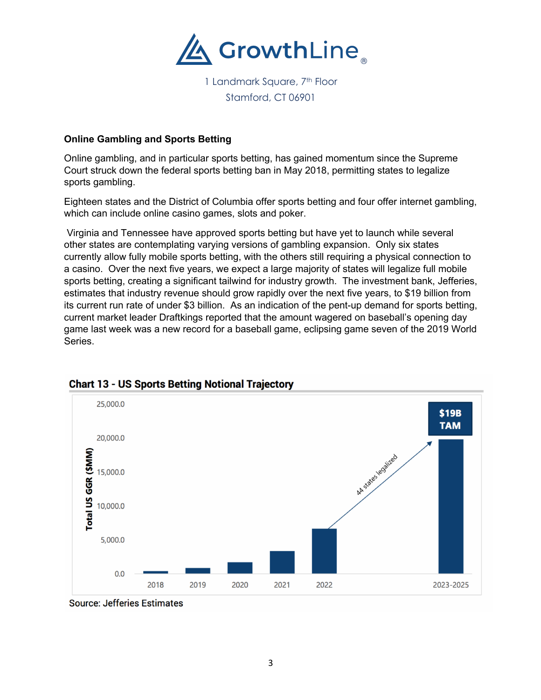

## **Online Gambling and Sports Betting**

Online gambling, and in particular sports betting, has gained momentum since the Supreme Court struck down the federal sports betting ban in May 2018, permitting states to legalize sports gambling.

Eighteen states and the District of Columbia offer sports betting and four offer internet gambling, which can include online casino games, slots and poker.

Virginia and Tennessee have approved sports betting but have yet to launch while several other states are contemplating varying versions of gambling expansion. Only six states currently allow fully mobile sports betting, with the others still requiring a physical connection to a casino. Over the next five years, we expect a large majority of states will legalize full mobile sports betting, creating a significant tailwind for industry growth. The investment bank, Jefferies, estimates that industry revenue should grow rapidly over the next five years, to \$19 billion from its current run rate of under \$3 billion. As an indication of the pent-up demand for sports betting, current market leader Draftkings reported that the amount wagered on baseball's opening day game last week was a new record for a baseball game, eclipsing game seven of the 2019 World Series.



## **Chart 13 - US Sports Betting Notional Trajectory**

**Source: Jefferies Estimates**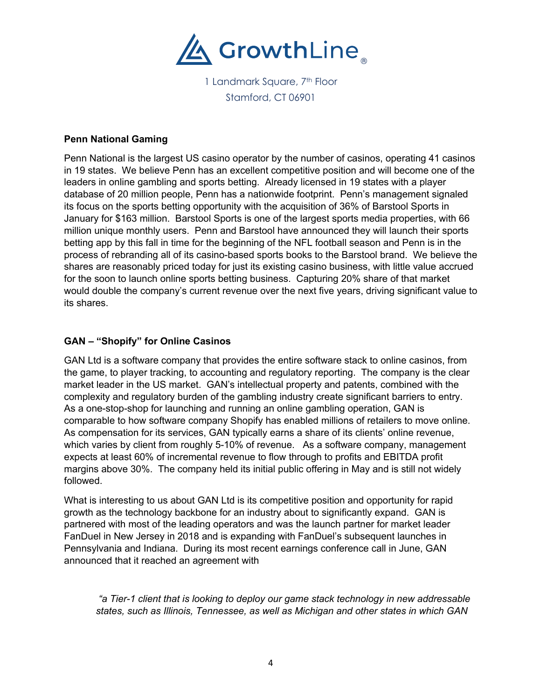

#### **Penn National Gaming**

Penn National is the largest US casino operator by the number of casinos, operating 41 casinos in 19 states. We believe Penn has an excellent competitive position and will become one of the leaders in online gambling and sports betting. Already licensed in 19 states with a player database of 20 million people, Penn has a nationwide footprint. Penn's management signaled its focus on the sports betting opportunity with the acquisition of 36% of Barstool Sports in January for \$163 million. Barstool Sports is one of the largest sports media properties, with 66 million unique monthly users. Penn and Barstool have announced they will launch their sports betting app by this fall in time for the beginning of the NFL football season and Penn is in the process of rebranding all of its casino-based sports books to the Barstool brand. We believe the shares are reasonably priced today for just its existing casino business, with little value accrued for the soon to launch online sports betting business. Capturing 20% share of that market would double the company's current revenue over the next five years, driving significant value to its shares.

#### **GAN – "Shopify" for Online Casinos**

GAN Ltd is a software company that provides the entire software stack to online casinos, from the game, to player tracking, to accounting and regulatory reporting. The company is the clear market leader in the US market. GAN's intellectual property and patents, combined with the complexity and regulatory burden of the gambling industry create significant barriers to entry. As a one-stop-shop for launching and running an online gambling operation, GAN is comparable to how software company Shopify has enabled millions of retailers to move online. As compensation for its services, GAN typically earns a share of its clients' online revenue, which varies by client from roughly 5-10% of revenue. As a software company, management expects at least 60% of incremental revenue to flow through to profits and EBITDA profit margins above 30%. The company held its initial public offering in May and is still not widely followed.

What is interesting to us about GAN Ltd is its competitive position and opportunity for rapid growth as the technology backbone for an industry about to significantly expand. GAN is partnered with most of the leading operators and was the launch partner for market leader FanDuel in New Jersey in 2018 and is expanding with FanDuel's subsequent launches in Pennsylvania and Indiana. During its most recent earnings conference call in June, GAN announced that it reached an agreement with

*"a Tier-1 client that is looking to deploy our game stack technology in new addressable states, such as Illinois, Tennessee, as well as Michigan and other states in which GAN*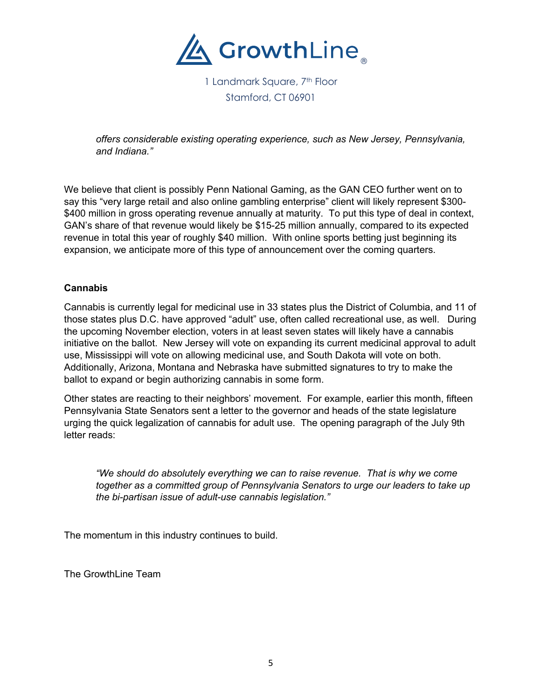

*offers considerable existing operating experience, such as New Jersey, Pennsylvania, and Indiana."*

We believe that client is possibly Penn National Gaming, as the GAN CEO further went on to say this "very large retail and also online gambling enterprise" client will likely represent \$300- \$400 million in gross operating revenue annually at maturity. To put this type of deal in context, GAN's share of that revenue would likely be \$15-25 million annually, compared to its expected revenue in total this year of roughly \$40 million. With online sports betting just beginning its expansion, we anticipate more of this type of announcement over the coming quarters.

#### **Cannabis**

Cannabis is currently legal for medicinal use in 33 states plus the District of Columbia, and 11 of those states plus D.C. have approved "adult" use, often called recreational use, as well. During the upcoming November election, voters in at least seven states will likely have a cannabis initiative on the ballot. New Jersey will vote on expanding its current medicinal approval to adult use, Mississippi will vote on allowing medicinal use, and South Dakota will vote on both. Additionally, Arizona, Montana and Nebraska have submitted signatures to try to make the ballot to expand or begin authorizing cannabis in some form.

Other states are reacting to their neighbors' movement. For example, earlier this month, fifteen Pennsylvania State Senators sent a letter to the governor and heads of the state legislature urging the quick legalization of cannabis for adult use. The opening paragraph of the July 9th letter reads:

*"We should do absolutely everything we can to raise revenue. That is why we come together as a committed group of Pennsylvania Senators to urge our leaders to take up the bi-partisan issue of adult-use cannabis legislation."*

The momentum in this industry continues to build.

The GrowthLine Team